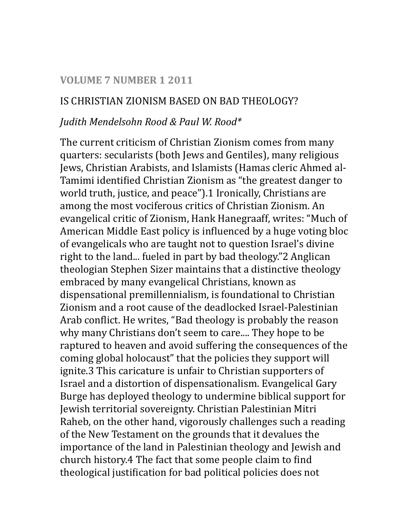#### **VOLUME 7 NUMBER 1 2011**

#### IS CHRISTIAN ZIONISM BASED ON BAD THEOLOGY?

#### *Judith Mendelsohn Rood & Paul W. Rood\**

The current criticism of Christian Zionism comes from many quarters: secularists (both Jews and Gentiles), many religious Jews, Christian Arabists, and Islamists (Hamas cleric Ahmed al-Tamimi identified Christian Zionism as "the greatest danger to world truth, justice, and peace").1 Ironically, Christians are among the most vociferous critics of Christian Zionism. An evangelical critic of Zionism, Hank Hanegraaff, writes: "Much of American Middle East policy is influenced by a huge voting bloc of evangelicals who are taught not to question Israel's divine right to the land... fueled in part by bad theology."2 Anglican theologian Stephen Sizer maintains that a distinctive theology embraced by many evangelical Christians, known as dispensational premillennialism, is foundational to Christian Zionism and a root cause of the deadlocked Israel-Palestinian Arab conflict. He writes, "Bad theology is probably the reason why many Christians don't seem to care.... They hope to be raptured to heaven and avoid suffering the consequences of the coming global holocaust" that the policies they support will ignite.3 This caricature is unfair to Christian supporters of Israel and a distortion of dispensationalism. Evangelical Gary Burge has deployed theology to undermine biblical support for Jewish territorial sovereignty. Christian Palestinian Mitri Raheb, on the other hand, vigorously challenges such a reading of the New Testament on the grounds that it devalues the importance of the land in Palestinian theology and Jewish and church history.4 The fact that some people claim to find theological justification for bad political policies does not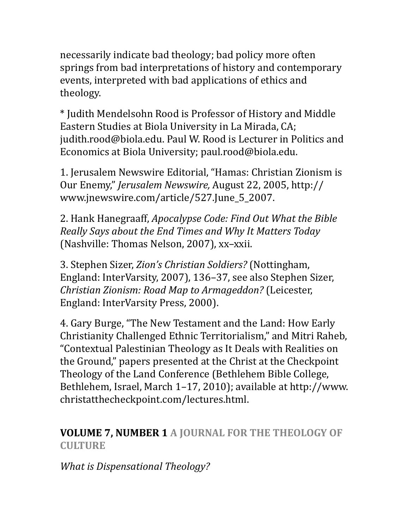necessarily indicate bad theology; bad policy more often springs from bad interpretations of history and contemporary events, interpreted with bad applications of ethics and theology. 

\* Judith Mendelsohn Rood is Professor of History and Middle Eastern Studies at Biola University in La Mirada, CA; judith.rood@biola.edu. Paul W. Rood is Lecturer in Politics and Economics at Biola University; paul.rood@biola.edu.

1. Jerusalem Newswire Editorial, "Hamas: Christian Zionism is Our Enemy," *Jerusalem Newswire*, August 22, 2005, http:// www.jnewswire.com/article/527.June\_5\_2007. 

2. Hank Hanegraaff, *Apocalypse Code: Find Out What the Bible Really Says about the End Times and Why It Matters Today* (Nashville: Thomas Nelson, 2007), xx-xxii.

3. Stephen Sizer, *Zion's Christian Soldiers?* (Nottingham, England: InterVarsity, 2007), 136-37, see also Stephen Sizer, *Christian Zionism: Road Map to Armageddon?* (Leicester, England: InterVarsity Press, 2000).

4. Gary Burge, "The New Testament and the Land: How Early Christianity Challenged Ethnic Territorialism," and Mitri Raheb, "Contextual Palestinian Theology as It Deals with Realities on the Ground," papers presented at the Christ at the Checkpoint Theology of the Land Conference (Bethlehem Bible College, Bethlehem, Israel, March 1-17, 2010); available at http://www. christatthecheckpoint.com/lectures.html. 

### **VOLUME 7, NUMBER 1 A JOURNAL FOR THE THEOLOGY OF CULTURE**

*What is Dispensational Theology?*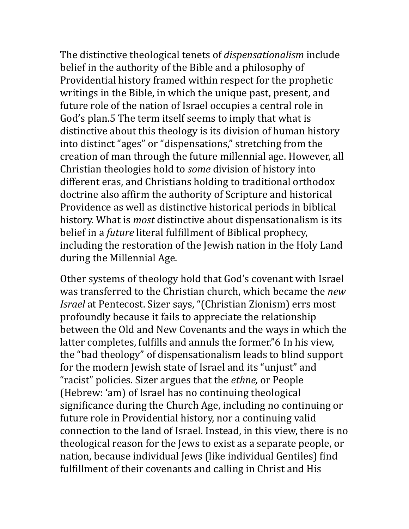The distinctive theological tenets of *dispensationalism* include belief in the authority of the Bible and a philosophy of Providential history framed within respect for the prophetic writings in the Bible, in which the unique past, present, and future role of the nation of Israel occupies a central role in God's plan.5 The term itself seems to imply that what is distinctive about this theology is its division of human history into distinct "ages" or "dispensations," stretching from the creation of man through the future millennial age. However, all Christian theologies hold to *some* division of history into different eras, and Christians holding to traditional orthodox doctrine also affirm the authority of Scripture and historical Providence as well as distinctive historical periods in biblical history. What is *most* distinctive about dispensationalism is its belief in a *future* literal fulfillment of Biblical prophecy, including the restoration of the Jewish nation in the Holy Land during the Millennial Age.

Other systems of theology hold that God's covenant with Israel was transferred to the Christian church, which became the *new Israel* at Pentecost. Sizer says, "(Christian Zionism) errs most profoundly because it fails to appreciate the relationship between the Old and New Covenants and the ways in which the latter completes, fulfills and annuls the former."6 In his view, the "bad theology" of dispensationalism leads to blind support for the modern Jewish state of Israel and its "unjust" and "racist" policies. Sizer argues that the *ethne*, or People (Hebrew: 'am) of Israel has no continuing theological significance during the Church Age, including no continuing or future role in Providential history, nor a continuing valid connection to the land of Israel. Instead, in this view, there is no theological reason for the Jews to exist as a separate people, or nation, because individual Jews (like individual Gentiles) find fulfillment of their covenants and calling in Christ and His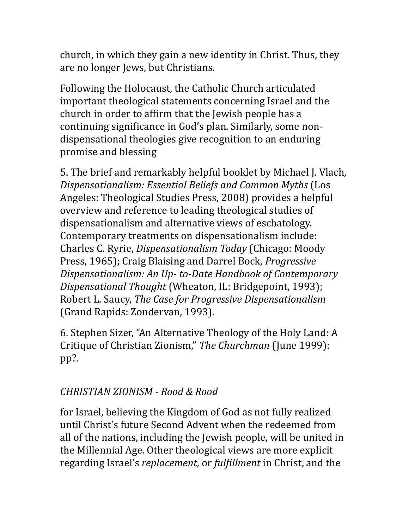church, in which they gain a new identity in Christ. Thus, they are no longer Jews, but Christians.

Following the Holocaust, the Catholic Church articulated important theological statements concerning Israel and the church in order to affirm that the Jewish people has a continuing significance in God's plan. Similarly, some nondispensational theologies give recognition to an enduring promise and blessing

5. The brief and remarkably helpful booklet by Michael J. Vlach, *Dispensationalism: Essential Beliefs and Common Myths* (Los Angeles: Theological Studies Press, 2008) provides a helpful overview and reference to leading theological studies of dispensationalism and alternative views of eschatology. Contemporary treatments on dispensationalism include: Charles C. Ryrie, *Dispensationalism Today* (Chicago: Moody Press, 1965); Craig Blaising and Darrel Bock, *Progressive Dispensationalism: An Up- to-Date Handbook of Contemporary Dispensational Thought* (Wheaton, IL: Bridgepoint, 1993); Robert L. Saucy, *The Case for Progressive Dispensationalism* (Grand Rapids: Zondervan, 1993).

6. Stephen Sizer, "An Alternative Theology of the Holy Land: A Critique of Christian Zionism," The Churchman (June 1999): pp?. 

## *CHRISTIAN ZIONISM - Rood & Rood*

for Israel, believing the Kingdom of God as not fully realized until Christ's future Second Advent when the redeemed from all of the nations, including the Jewish people, will be united in the Millennial Age. Other theological views are more explicit regarding Israel's *replacement*, or *fulfillment* in Christ, and the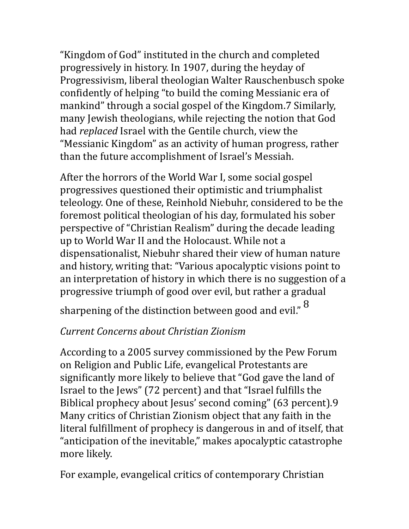"Kingdom of God" instituted in the church and completed progressively in history. In 1907, during the heyday of Progressivism, liberal theologian Walter Rauschenbusch spoke confidently of helping "to build the coming Messianic era of mankind" through a social gospel of the Kingdom.7 Similarly, many Jewish theologians, while rejecting the notion that God had *replaced* Israel with the Gentile church, view the "Messianic Kingdom" as an activity of human progress, rather than the future accomplishment of Israel's Messiah.

After the horrors of the World War I, some social gospel progressives questioned their optimistic and triumphalist teleology. One of these, Reinhold Niebuhr, considered to be the foremost political theologian of his day, formulated his sober perspective of "Christian Realism" during the decade leading up to World War II and the Holocaust. While not a dispensationalist, Niebuhr shared their view of human nature and history, writing that: "Various apocalyptic visions point to an interpretation of history in which there is no suggestion of a progressive triumph of good over evil, but rather a gradual

sharpening of the distinction between good and evil." <sup>8</sup>

# *Current Concerns about Christian Zionism*

According to a 2005 survey commissioned by the Pew Forum on Religion and Public Life, evangelical Protestants are significantly more likely to believe that "God gave the land of Israel to the Jews" (72 percent) and that "Israel fulfills the Biblical prophecy about Jesus' second coming" (63 percent).9 Many critics of Christian Zionism object that any faith in the literal fulfillment of prophecy is dangerous in and of itself, that "anticipation of the inevitable," makes apocalyptic catastrophe more likely.

For example, evangelical critics of contemporary Christian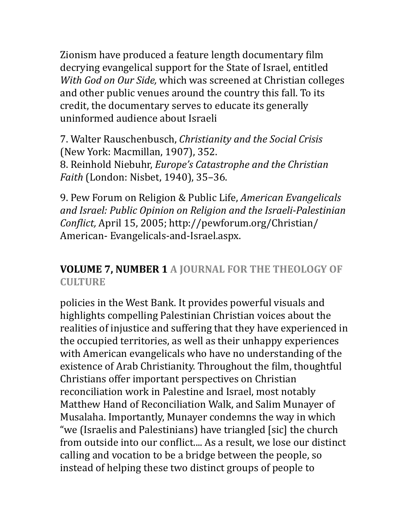Zionism have produced a feature length documentary film decrying evangelical support for the State of Israel, entitled *With God on Our Side,* which was screened at Christian colleges and other public venues around the country this fall. To its credit, the documentary serves to educate its generally uninformed audience about Israeli 

7. Walter Rauschenbusch, *Christianity and the Social Crisis*  (New York: Macmillan, 1907), 352. 8. Reinhold Niebuhr, *Europe's Catastrophe and the Christian Faith* (London: Nisbet, 1940), 35-36.

9. Pew Forum on Religion & Public Life, *American Evangelicals* and Israel: Public Opinion on Religion and the Israeli-Palestinian *Conflict, April 15, 2005; http://pewforum.org/Christian/* American- Evangelicals-and-Israel.aspx.

### **VOLUME 7, NUMBER 1 A JOURNAL FOR THE THEOLOGY OF CULTURE**

policies in the West Bank. It provides powerful visuals and highlights compelling Palestinian Christian voices about the realities of injustice and suffering that they have experienced in the occupied territories, as well as their unhappy experiences with American evangelicals who have no understanding of the existence of Arab Christianity. Throughout the film, thoughtful Christians offer important perspectives on Christian reconciliation work in Palestine and Israel, most notably Matthew Hand of Reconciliation Walk, and Salim Munayer of Musalaha. Importantly, Munayer condemns the way in which "we (Israelis and Palestinians) have triangled [sic] the church from outside into our conflict.... As a result, we lose our distinct calling and vocation to be a bridge between the people, so instead of helping these two distinct groups of people to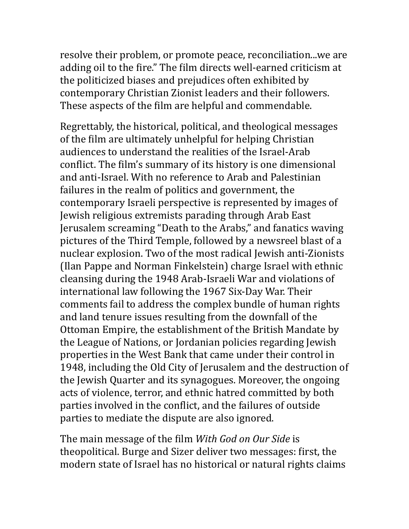resolve their problem, or promote peace, reconciliation...we are adding oil to the fire." The film directs well-earned criticism at the politicized biases and prejudices often exhibited by contemporary Christian Zionist leaders and their followers. These aspects of the film are helpful and commendable.

Regrettably, the historical, political, and theological messages of the film are ultimately unhelpful for helping Christian audiences to understand the realities of the Israel-Arab conflict. The film's summary of its history is one dimensional and anti-Israel. With no reference to Arab and Palestinian failures in the realm of politics and government, the contemporary Israeli perspective is represented by images of Jewish religious extremists parading through Arab East Jerusalem screaming "Death to the Arabs," and fanatics waving pictures of the Third Temple, followed by a newsreel blast of a nuclear explosion. Two of the most radical Jewish anti-Zionists (Ilan Pappe and Norman Finkelstein) charge Israel with ethnic cleansing during the 1948 Arab-Israeli War and violations of international law following the 1967 Six-Day War. Their comments fail to address the complex bundle of human rights and land tenure issues resulting from the downfall of the Ottoman Empire, the establishment of the British Mandate by the League of Nations, or Jordanian policies regarding Jewish properties in the West Bank that came under their control in 1948, including the Old City of Jerusalem and the destruction of the Jewish Quarter and its synagogues. Moreover, the ongoing acts of violence, terror, and ethnic hatred committed by both parties involved in the conflict, and the failures of outside parties to mediate the dispute are also ignored.

The main message of the film *With God on Our Side* is theopolitical. Burge and Sizer deliver two messages: first, the modern state of Israel has no historical or natural rights claims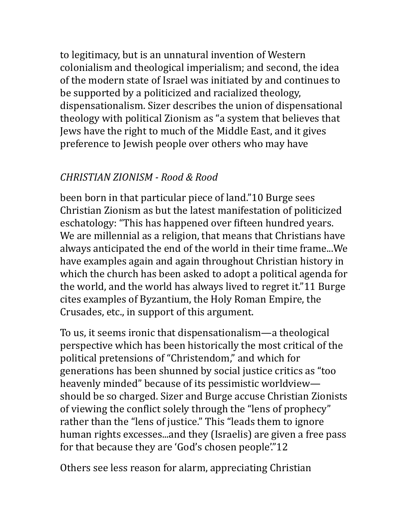to legitimacy, but is an unnatural invention of Western colonialism and theological imperialism; and second, the idea of the modern state of Israel was initiated by and continues to be supported by a politicized and racialized theology, dispensationalism. Sizer describes the union of dispensational theology with political Zionism as "a system that believes that Jews have the right to much of the Middle East, and it gives preference to Jewish people over others who may have

### *CHRISTIAN ZIONISM - Rood & Rood*

been born in that particular piece of land."10 Burge sees Christian Zionism as but the latest manifestation of politicized eschatology: "This has happened over fifteen hundred years. We are millennial as a religion, that means that Christians have always anticipated the end of the world in their time frame...We have examples again and again throughout Christian history in which the church has been asked to adopt a political agenda for the world, and the world has always lived to regret it."11 Burge cites examples of Byzantium, the Holy Roman Empire, the Crusades, etc., in support of this argument.

To us, it seems ironic that dispensationalism—a theological perspective which has been historically the most critical of the political pretensions of "Christendom," and which for generations has been shunned by social justice critics as "too" heavenly minded" because of its pessimistic worldview should be so charged. Sizer and Burge accuse Christian Zionists of viewing the conflict solely through the "lens of prophecy" rather than the "lens of justice." This "leads them to ignore human rights excesses...and they (Israelis) are given a free pass for that because they are 'God's chosen people'."12

Others see less reason for alarm, appreciating Christian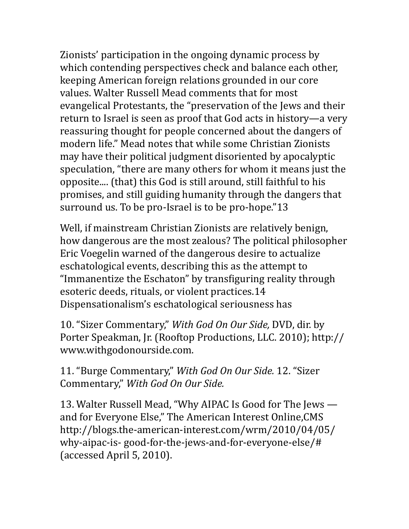Zionists' participation in the ongoing dynamic process by which contending perspectives check and balance each other, keeping American foreign relations grounded in our core values. Walter Russell Mead comments that for most evangelical Protestants, the "preservation of the Jews and their return to Israel is seen as proof that God acts in history—a very reassuring thought for people concerned about the dangers of modern life." Mead notes that while some Christian Zionists may have their political judgment disoriented by apocalyptic speculation, "there are many others for whom it means just the opposite.... (that) this God is still around, still faithful to his promises, and still guiding humanity through the dangers that surround us. To be pro-Israel is to be pro-hope."13

Well, if mainstream Christian Zionists are relatively benign, how dangerous are the most zealous? The political philosopher Eric Voegelin warned of the dangerous desire to actualize eschatological events, describing this as the attempt to "Immanentize the Eschaton" by transfiguring reality through esoteric deeds, rituals, or violent practices.14 Dispensationalism's eschatological seriousness has

10. "Sizer Commentary," *With God On Our Side*, DVD, dir. by Porter Speakman, Jr. (Rooftop Productions, LLC. 2010); http:// www.withgodonourside.com. 

11. "Burge Commentary," *With God On Our Side.* 12. "Sizer Commentary," With God On Our Side.

13. Walter Russell Mead, "Why AIPAC Is Good for The Jews and for Everyone Else," The American Interest Online, CMS http://blogs.the-american-interest.com/wrm/2010/04/05/ why-aipac-is- good-for-the-jews-and-for-everyone-else/# (accessed April 5, 2010).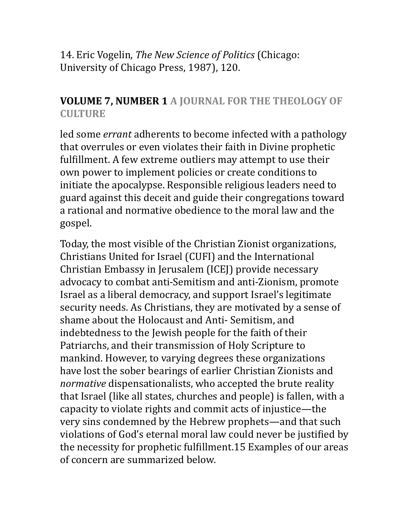14. Eric Vogelin, *The New Science of Politics* (Chicago: University of Chicago Press, 1987), 120.

### **VOLUME 7, NUMBER 1 A JOURNAL FOR THE THEOLOGY OF CULTURE**

led some *errant* adherents to become infected with a pathology that overrules or even violates their faith in Divine prophetic fulfillment. A few extreme outliers may attempt to use their own power to implement policies or create conditions to initiate the apocalypse. Responsible religious leaders need to guard against this deceit and guide their congregations toward a rational and normative obedience to the moral law and the gospel. 

Today, the most visible of the Christian Zionist organizations, Christians United for Israel (CUFI) and the International Christian Embassy in Jerusalem (ICEJ) provide necessary advocacy to combat anti-Semitism and anti-Zionism, promote Israel as a liberal democracy, and support Israel's legitimate security needs. As Christians, they are motivated by a sense of shame about the Holocaust and Anti- Semitism, and indebtedness to the Jewish people for the faith of their Patriarchs, and their transmission of Holy Scripture to mankind. However, to varying degrees these organizations have lost the sober bearings of earlier Christian Zionists and *normative* dispensationalists, who accepted the brute reality that Israel (like all states, churches and people) is fallen, with a capacity to violate rights and commit acts of injustice—the very sins condemned by the Hebrew prophets—and that such violations of God's eternal moral law could never be justified by the necessity for prophetic fulfillment.15 Examples of our areas of concern are summarized below.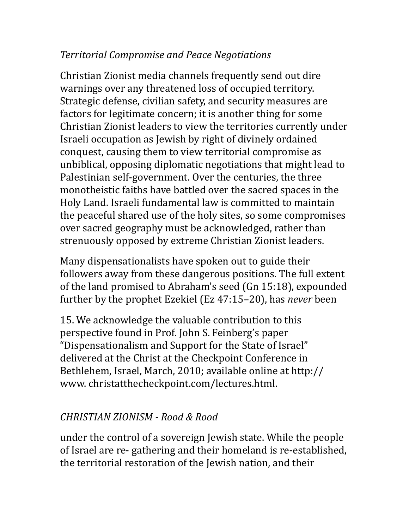## *Territorial Compromise and Peace Negotiations*

Christian Zionist media channels frequently send out dire warnings over any threatened loss of occupied territory. Strategic defense, civilian safety, and security measures are factors for legitimate concern; it is another thing for some Christian Zionist leaders to view the territories currently under Israeli occupation as Jewish by right of divinely ordained conquest, causing them to view territorial compromise as unbiblical, opposing diplomatic negotiations that might lead to Palestinian self-government. Over the centuries, the three monotheistic faiths have battled over the sacred spaces in the Holy Land. Israeli fundamental law is committed to maintain the peaceful shared use of the holy sites, so some compromises over sacred geography must be acknowledged, rather than strenuously opposed by extreme Christian Zionist leaders.

Many dispensationalists have spoken out to guide their followers away from these dangerous positions. The full extent of the land promised to Abraham's seed (Gn 15:18), expounded further by the prophet Ezekiel (Ez 47:15–20), has *never* been

15. We acknowledge the valuable contribution to this perspective found in Prof. John S. Feinberg's paper "Dispensationalism and Support for the State of Israel" delivered at the Christ at the Checkpoint Conference in Bethlehem, Israel, March, 2010; available online at http:// www.christatthecheckpoint.com/lectures.html.

# *CHRISTIAN ZIONISM - Rood & Rood*

under the control of a sovereign Jewish state. While the people of Israel are re- gathering and their homeland is re-established, the territorial restoration of the Jewish nation, and their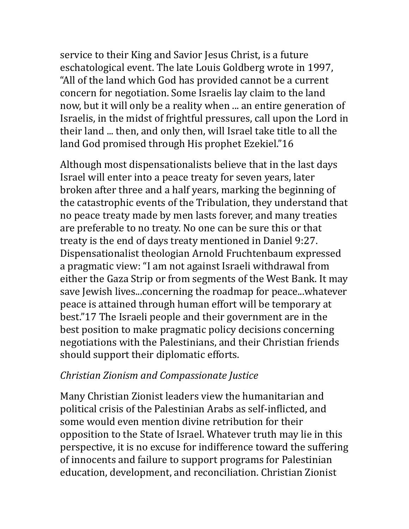service to their King and Savior Jesus Christ, is a future eschatological event. The late Louis Goldberg wrote in 1997, "All of the land which God has provided cannot be a current concern for negotiation. Some Israelis lay claim to the land now, but it will only be a reality when ... an entire generation of Israelis, in the midst of frightful pressures, call upon the Lord in their land ... then, and only then, will Israel take title to all the land God promised through His prophet Ezekiel."16

Although most dispensationalists believe that in the last days Israel will enter into a peace treaty for seven years, later broken after three and a half years, marking the beginning of the catastrophic events of the Tribulation, they understand that no peace treaty made by men lasts forever, and many treaties are preferable to no treaty. No one can be sure this or that treaty is the end of days treaty mentioned in Daniel 9:27. Dispensationalist theologian Arnold Fruchtenbaum expressed a pragmatic view: "I am not against Israeli withdrawal from either the Gaza Strip or from segments of the West Bank. It may save Jewish lives...concerning the roadmap for peace...whatever peace is attained through human effort will be temporary at best."17 The Israeli people and their government are in the best position to make pragmatic policy decisions concerning negotiations with the Palestinians, and their Christian friends should support their diplomatic efforts.

#### *Christian Zionism and Compassionate Justice*

Many Christian Zionist leaders view the humanitarian and political crisis of the Palestinian Arabs as self-inflicted, and some would even mention divine retribution for their opposition to the State of Israel. Whatever truth may lie in this perspective, it is no excuse for indifference toward the suffering of innocents and failure to support programs for Palestinian education, development, and reconciliation. Christian Zionist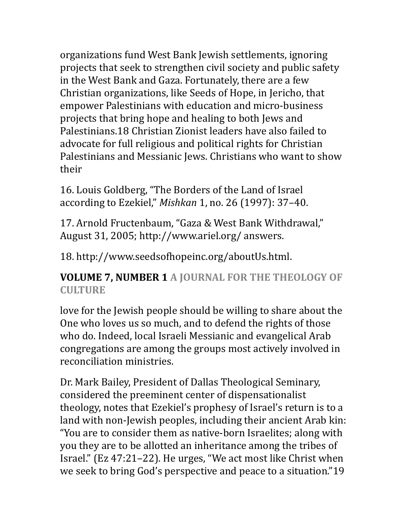organizations fund West Bank Jewish settlements, ignoring projects that seek to strengthen civil society and public safety in the West Bank and Gaza. Fortunately, there are a few Christian organizations, like Seeds of Hope, in Jericho, that empower Palestinians with education and micro-business projects that bring hope and healing to both Jews and Palestinians.18 Christian Zionist leaders have also failed to advocate for full religious and political rights for Christian Palestinians and Messianic Jews. Christians who want to show their 

16. Louis Goldberg, "The Borders of the Land of Israel according to Ezekiel," *Mishkan* 1, no. 26 (1997): 37-40.

17. Arnold Fructenbaum, "Gaza & West Bank Withdrawal," August 31, 2005; http://www.ariel.org/ answers.

18. http://www.seedsofhopeinc.org/aboutUs.html.

## **VOLUME 7, NUMBER 1 A JOURNAL FOR THE THEOLOGY OF CULTURE**

love for the Jewish people should be willing to share about the One who loves us so much, and to defend the rights of those who do. Indeed, local Israeli Messianic and evangelical Arab congregations are among the groups most actively involved in reconciliation ministries.

Dr. Mark Bailey, President of Dallas Theological Seminary, considered the preeminent center of dispensationalist theology, notes that Ezekiel's prophesy of Israel's return is to a land with non-Jewish peoples, including their ancient Arab kin: "You are to consider them as native-born Israelites; along with you they are to be allotted an inheritance among the tribes of Israel." (Ez 47:21–22). He urges, "We act most like Christ when we seek to bring God's perspective and peace to a situation."19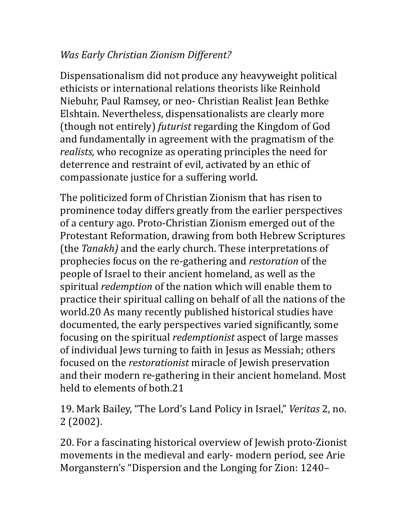# *Was Early Christian Zionism Different?*

Dispensationalism did not produce any heavyweight political ethicists or international relations theorists like Reinhold Niebuhr, Paul Ramsey, or neo- Christian Realist Jean Bethke Elshtain. Nevertheless, dispensationalists are clearly more (though not entirely) *futurist* regarding the Kingdom of God and fundamentally in agreement with the pragmatism of the *realists*, who recognize as operating principles the need for deterrence and restraint of evil, activated by an ethic of compassionate justice for a suffering world.

The politicized form of Christian Zionism that has risen to prominence today differs greatly from the earlier perspectives of a century ago. Proto-Christian Zionism emerged out of the Protestant Reformation, drawing from both Hebrew Scriptures (the *Tanakh*) and the early church. These interpretations of prophecies focus on the re-gathering and *restoration* of the people of Israel to their ancient homeland, as well as the spiritual *redemption* of the nation which will enable them to practice their spiritual calling on behalf of all the nations of the world.20 As many recently published historical studies have documented, the early perspectives varied significantly, some focusing on the spiritual *redemptionist* aspect of large masses of individual Jews turning to faith in Jesus as Messiah; others focused on the *restorationist* miracle of Jewish preservation and their modern re-gathering in their ancient homeland. Most held to elements of both.21

19. Mark Bailey, "The Lord's Land Policy in Israel," *Veritas* 2, no. 2 (2002). 

20. For a fascinating historical overview of Jewish proto-Zionist movements in the medieval and early- modern period, see Arie Morganstern's "Dispersion and the Longing for Zion: 1240–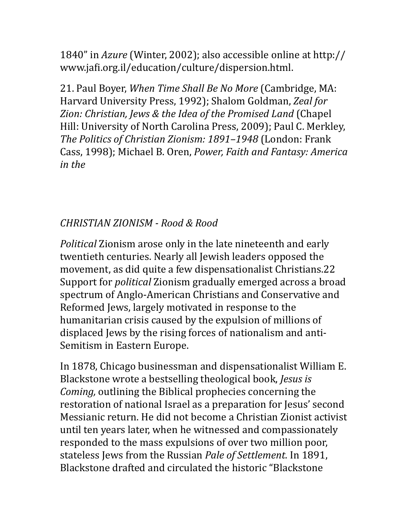1840" in *Azure* (Winter, 2002); also accessible online at http:// www.jafi.org.il/education/culture/dispersion.html.

21. Paul Boyer, *When Time Shall Be No More* (Cambridge, MA: Harvard University Press, 1992); Shalom Goldman, *Zeal for* Zion: Christian, Jews & the Idea of the Promised Land *(Chapel*) Hill: University of North Carolina Press, 2009); Paul C. Merkley, *The Politics of Christian Zionism: 1891–1948* (London: Frank Cass, 1998); Michael B. Oren, *Power, Faith and Fantasy: America in the*

# *CHRISTIAN ZIONISM - Rood & Rood*

*Political* Zionism arose only in the late nineteenth and early twentieth centuries. Nearly all Jewish leaders opposed the movement, as did quite a few dispensationalist Christians.22 Support for *political* Zionism gradually emerged across a broad spectrum of Anglo-American Christians and Conservative and Reformed Jews, largely motivated in response to the humanitarian crisis caused by the expulsion of millions of displaced Jews by the rising forces of nationalism and anti-Semitism in Eastern Europe.

In 1878, Chicago businessman and dispensationalist William E. Blackstone wrote a bestselling theological book, *Jesus is Coming,* outlining the Biblical prophecies concerning the restoration of national Israel as a preparation for Jesus' second Messianic return. He did not become a Christian Zionist activist until ten years later, when he witnessed and compassionately responded to the mass expulsions of over two million poor, stateless Jews from the Russian *Pale of Settlement*. In 1891, Blackstone drafted and circulated the historic "Blackstone"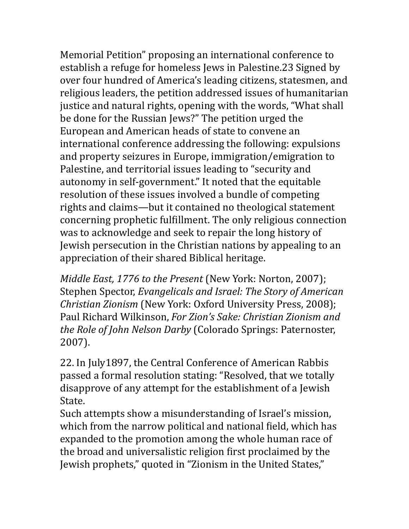Memorial Petition" proposing an international conference to establish a refuge for homeless Jews in Palestine.23 Signed by over four hundred of America's leading citizens, statesmen, and religious leaders, the petition addressed issues of humanitarian justice and natural rights, opening with the words, "What shall be done for the Russian Jews?" The petition urged the European and American heads of state to convene an international conference addressing the following: expulsions and property seizures in Europe, immigration/emigration to Palestine, and territorial issues leading to "security and autonomy in self-government." It noted that the equitable resolution of these issues involved a bundle of competing rights and claims—but it contained no theological statement concerning prophetic fulfillment. The only religious connection was to acknowledge and seek to repair the long history of Jewish persecution in the Christian nations by appealing to an appreciation of their shared Biblical heritage.

*Middle East, 1776 to the Present* (New York: Norton, 2007); Stephen Spector, *Evangelicals and Israel: The Story of American Christian Zionism* (New York: Oxford University Press, 2008); Paul Richard Wilkinson, *For Zion's Sake: Christian Zionism and the Role of John Nelson Darby* (Colorado Springs: Paternoster, 2007). 

22. In July1897, the Central Conference of American Rabbis passed a formal resolution stating: "Resolved, that we totally disapprove of any attempt for the establishment of a Jewish State. 

Such attempts show a misunderstanding of Israel's mission, which from the narrow political and national field, which has expanded to the promotion among the whole human race of the broad and universalistic religion first proclaimed by the Jewish prophets," quoted in "Zionism in the United States,"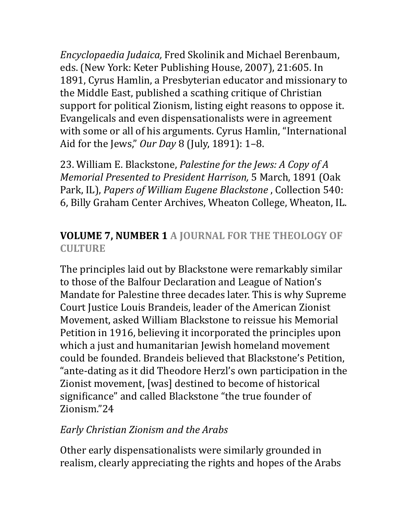*Encyclopaedia Judaica,* Fred Skolinik and Michael Berenbaum, eds. (New York: Keter Publishing House, 2007), 21:605. In 1891, Cyrus Hamlin, a Presbyterian educator and missionary to the Middle East, published a scathing critique of Christian support for political Zionism, listing eight reasons to oppose it. Evangelicals and even dispensationalists were in agreement with some or all of his arguments. Cyrus Hamlin, "International Aid for the Jews," *Our Day* 8 (July, 1891): 1-8.

23. William E. Blackstone, *Palestine for the Jews: A Copy of A Memorial Presented to President Harrison,* 5 March, 1891 (Oak Park, IL), *Papers of William Eugene Blackstone*, Collection 540: 6, Billy Graham Center Archives, Wheaton College, Wheaton, IL.

# **VOLUME 7, NUMBER 1 A JOURNAL FOR THE THEOLOGY OF CULTURE**

The principles laid out by Blackstone were remarkably similar to those of the Balfour Declaration and League of Nation's Mandate for Palestine three decades later. This is why Supreme Court Justice Louis Brandeis, leader of the American Zionist Movement, asked William Blackstone to reissue his Memorial Petition in 1916, believing it incorporated the principles upon which a just and humanitarian Jewish homeland movement could be founded. Brandeis believed that Blackstone's Petition, "ante-dating as it did Theodore Herzl's own participation in the Zionist movement, [was] destined to become of historical significance" and called Blackstone "the true founder of Zionism."24 

# *Early Christian Zionism and the Arabs*

Other early dispensationalists were similarly grounded in realism, clearly appreciating the rights and hopes of the Arabs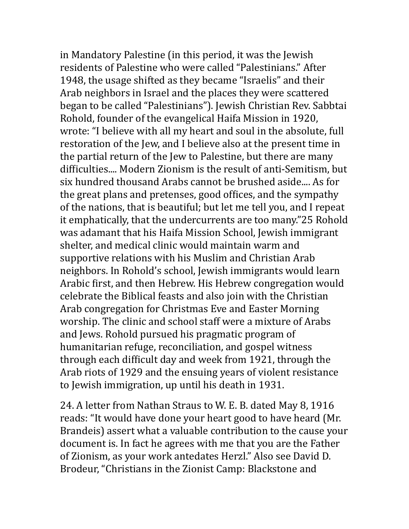in Mandatory Palestine (in this period, it was the Jewish residents of Palestine who were called "Palestinians." After 1948, the usage shifted as they became "Israelis" and their Arab neighbors in Israel and the places they were scattered began to be called "Palestinians"). Jewish Christian Rev. Sabbtai Rohold, founder of the evangelical Haifa Mission in 1920, wrote: "I believe with all my heart and soul in the absolute, full restoration of the Jew, and I believe also at the present time in the partial return of the Jew to Palestine, but there are many difficulties.... Modern Zionism is the result of anti-Semitism, but six hundred thousand Arabs cannot be brushed aside.... As for the great plans and pretenses, good offices, and the sympathy of the nations, that is beautiful; but let me tell you, and I repeat it emphatically, that the undercurrents are too many."25 Rohold was adamant that his Haifa Mission School, Jewish immigrant shelter, and medical clinic would maintain warm and supportive relations with his Muslim and Christian Arab neighbors. In Rohold's school, Jewish immigrants would learn Arabic first, and then Hebrew. His Hebrew congregation would celebrate the Biblical feasts and also join with the Christian Arab congregation for Christmas Eve and Easter Morning worship. The clinic and school staff were a mixture of Arabs and Jews. Rohold pursued his pragmatic program of humanitarian refuge, reconciliation, and gospel witness through each difficult day and week from 1921, through the Arab riots of 1929 and the ensuing years of violent resistance to Jewish immigration, up until his death in 1931.

24. A letter from Nathan Straus to W. E. B. dated May 8, 1916 reads: "It would have done your heart good to have heard (Mr. Brandeis) assert what a valuable contribution to the cause your document is. In fact he agrees with me that you are the Father of Zionism, as your work antedates Herzl." Also see David D. Brodeur, "Christians in the Zionist Camp: Blackstone and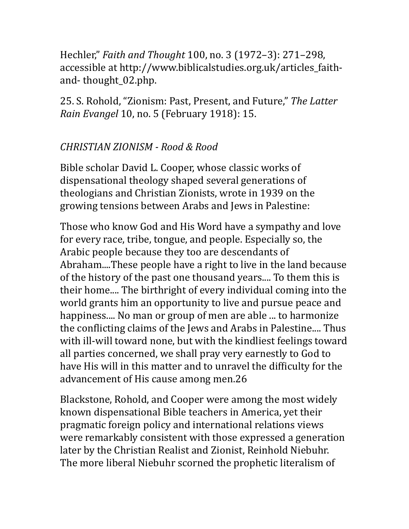Hechler," *Faith and Thought* 100, no. 3 (1972–3): 271–298, accessible at http://www.biblicalstudies.org.uk/articles\_faithand-thought 02.php.

25. S. Rohold, "Zionism: Past, Present, and Future," The Latter *Rain Evangel* 10, no. 5 (February 1918): 15.

# *CHRISTIAN ZIONISM - Rood & Rood*

Bible scholar David L. Cooper, whose classic works of dispensational theology shaped several generations of theologians and Christian Zionists, wrote in 1939 on the growing tensions between Arabs and Jews in Palestine:

Those who know God and His Word have a sympathy and love for every race, tribe, tongue, and people. Especially so, the Arabic people because they too are descendants of Abraham....These people have a right to live in the land because of the history of the past one thousand years.... To them this is their home.... The birthright of every individual coming into the world grants him an opportunity to live and pursue peace and happiness.... No man or group of men are able ... to harmonize the conflicting claims of the Jews and Arabs in Palestine.... Thus with ill-will toward none, but with the kindliest feelings toward all parties concerned, we shall pray very earnestly to God to have His will in this matter and to unravel the difficulty for the advancement of His cause among men.26

Blackstone, Rohold, and Cooper were among the most widely known dispensational Bible teachers in America, yet their pragmatic foreign policy and international relations views were remarkably consistent with those expressed a generation later by the Christian Realist and Zionist, Reinhold Niebuhr. The more liberal Niebuhr scorned the prophetic literalism of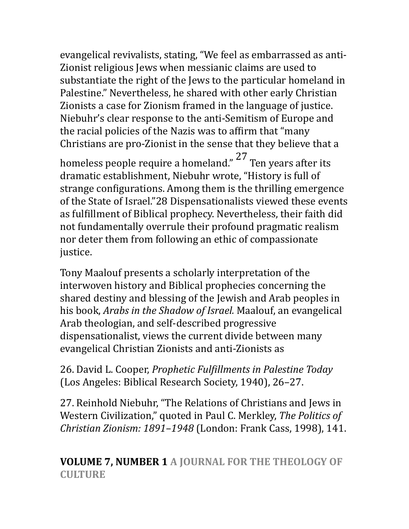evangelical revivalists, stating, "We feel as embarrassed as anti-Zionist religious Jews when messianic claims are used to substantiate the right of the Jews to the particular homeland in Palestine." Nevertheless, he shared with other early Christian Zionists a case for Zionism framed in the language of justice. Niebuhr's clear response to the anti-Semitism of Europe and the racial policies of the Nazis was to affirm that "many" Christians are pro-Zionist in the sense that they believe that a

homeless people require a homeland."  $27$  Ten years after its dramatic establishment, Niebuhr wrote, "History is full of strange configurations. Among them is the thrilling emergence of the State of Israel."28 Dispensationalists viewed these events as fulfillment of Biblical prophecy. Nevertheless, their faith did not fundamentally overrule their profound pragmatic realism nor deter them from following an ethic of compassionate justice. 

Tony Maalouf presents a scholarly interpretation of the interwoven history and Biblical prophecies concerning the shared destiny and blessing of the Jewish and Arab peoples in his book, *Arabs in the Shadow of Israel*. Maalouf, an evangelical Arab theologian, and self-described progressive dispensationalist, views the current divide between many evangelical Christian Zionists and anti-Zionists as

26. David L. Cooper, *Prophetic Fulfillments in Palestine Today* (Los Angeles: Biblical Research Society, 1940), 26-27.

27. Reinhold Niebuhr, "The Relations of Christians and Jews in Western Civilization," quoted in Paul C. Merkley, *The Politics of Christian Zionism: 1891-1948* (London: Frank Cass, 1998), 141.

**VOLUME 7, NUMBER 1 A JOURNAL FOR THE THEOLOGY OF CULTURE**